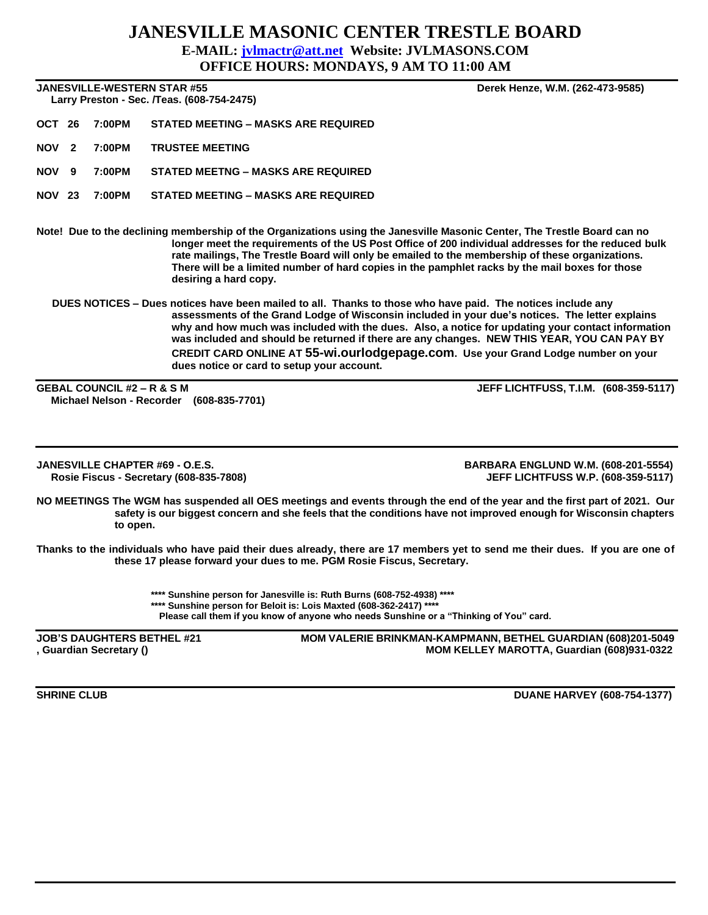## **JANESVILLE MASONIC CENTER TRESTLE BOARD E-MAIL: [jvlmactr@att.net](mailto:jvlmactr@att.net) Website: JVLMASONS.COM**

**OFFICE HOURS: MONDAYS, 9 AM TO 11:00 AM**

**JANESVILLE-WESTERN STAR #55 Derek Henze, W.M. (262-473-9585)**

 **Larry Preston - Sec. /Teas. (608-754-2475)** 

**OCT 26 7:00PM STATED MEETING – MASKS ARE REQUIRED**

**NOV 2 7:00PM TRUSTEE MEETING**

**NOV 9 7:00PM STATED MEETNG – MASKS ARE REQUIRED**

**NOV 23 7:00PM STATED MEETING – MASKS ARE REQUIRED**

**Note! Due to the declining membership of the Organizations using the Janesville Masonic Center, The Trestle Board can no longer meet the requirements of the US Post Office of 200 individual addresses for the reduced bulk rate mailings, The Trestle Board will only be emailed to the membership of these organizations. There will be a limited number of hard copies in the pamphlet racks by the mail boxes for those desiring a hard copy.**

**DUES NOTICES – Dues notices have been mailed to all. Thanks to those who have paid. The notices include any assessments of the Grand Lodge of Wisconsin included in your due's notices. The letter explains why and how much was included with the dues. Also, a notice for updating your contact information was included and should be returned if there are any changes. NEW THIS YEAR, YOU CAN PAY BY CREDIT CARD ONLINE AT 55-wi.ourlodgepage.com. Use your Grand Lodge number on your dues notice or card to setup your account.** 

**Michael Nelson - Recorder (608-835-7701)**

**GEBAL COUNCIL #2 – R & S M JEFF LICHTFUSS, T.I.M. (608-359-5117)**

 **Rosie Fiscus - Secretary (608-835-7808)** 

**JANESVILLE CHAPTER #69 - O.E.S. BARBARA ENGLUND W.M. (608-201-5554)** 

**NO MEETINGS The WGM has suspended all OES meetings and events through the end of the year and the first part of 2021. Our safety is our biggest concern and she feels that the conditions have not improved enough for Wisconsin chapters to open.** 

**Thanks to the individuals who have paid their dues already, there are 17 members yet to send me their dues. If you are one of these 17 please forward your dues to me. PGM Rosie Fiscus, Secretary.**

> **\*\*\*\* Sunshine person for Janesville is: Ruth Burns (608-752-4938) \*\*\*\* \*\*\*\* Sunshine person for Beloit is: Lois Maxted (608-362-2417) \*\*\*\* Please call them if you know of anyone who needs Sunshine or a "Thinking of You" card.**

**JOB'S DAUGHTERS BETHEL #21 MOM VALERIE BRINKMAN-KAMPMANN, BETHEL GUARDIAN (608)201-5049 , Guardian Secretary () MOM KELLEY MAROTTA, Guardian (608)931-0322**

**SHRINE CLUB CLUB CLUB DUANE HARVEY (608-754-1377)**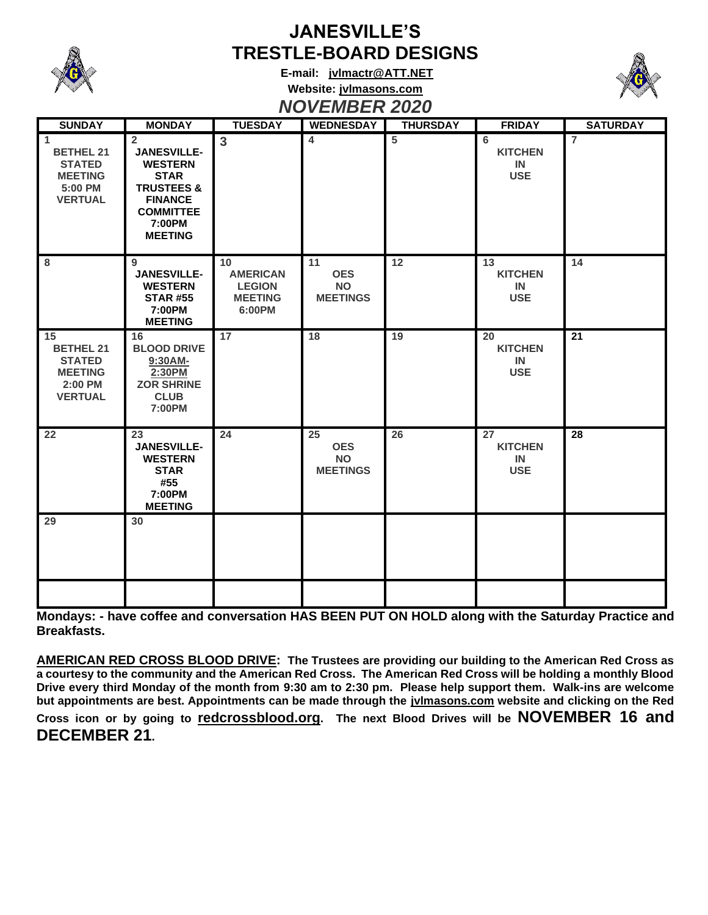

## **JANESVILLE'S TRESTLE-BOARD DESIGNS**

**E-mail: [jvlmactr@ATT.NET](mailto:jvlmactr@ATT.NET) Website: jvlmasons.com** *NOVEMBER 2020*



| 14              |
|-----------------|
|                 |
| 28              |
|                 |
| $\overline{21}$ |

**Mondays: - have coffee and conversation HAS BEEN PUT ON HOLD along with the Saturday Practice and Breakfasts.**

**AMERICAN RED CROSS BLOOD DRIVE: The Trustees are providing our building to the American Red Cross as a courtesy to the community and the American Red Cross. The American Red Cross will be holding a monthly Blood Drive every third Monday of the month from 9:30 am to 2:30 pm. Please help support them. Walk-ins are welcome but appointments are best. Appointments can be made through the jvlmasons.com website and clicking on the Red** 

**Cross icon or by going to redcrossblood.org. The next Blood Drives will be NOVEMBER 16 and DECEMBER 21.**